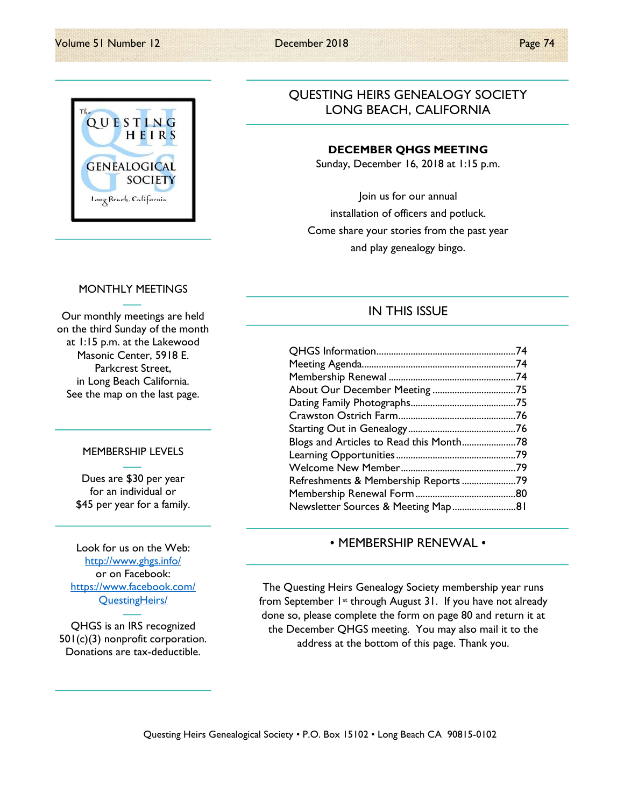

## QUESTING HEIRS GENEALOGY SOCIETY LONG BEACH, CALIFORNIA

#### DECEMBER QHGS MEETING

Sunday, December 16, 2018 at 1:15 p.m.

Join us for our annual installation of officers and potluck. Come share your stories from the past year and play genealogy bingo.

### MONTHLY MEETINGS

Our monthly meetings are held on the third Sunday of the month at 1:15 p.m. at the Lakewood Masonic Center, 5918 E. Parkcrest Street, in Long Beach California. See the map on the last page.

#### MEMBERSHIP LEVELS

Dues are \$30 per year for an individual or \$45 per year for a family.

Look for us on the Web: http://www.ghgs.info/ or on Facebook: https://www.facebook.com/ QuestingHeirs/

QHGS is an IRS recognized 501(c)(3) nonprofit corporation. Donations are tax-deductible.

## IN THIS ISSUE

| About Our December Meeting 75           |  |
|-----------------------------------------|--|
|                                         |  |
|                                         |  |
|                                         |  |
| Blogs and Articles to Read this Month78 |  |
|                                         |  |
|                                         |  |
| Refreshments & Membership Reports 79    |  |
|                                         |  |
| Newsletter Sources & Meeting Map81      |  |

### • MEMBERSHIP RENEWAL •

The Questing Heirs Genealogy Society membership year runs from September 1st through August 31. If you have not already done so, please complete the form on page 80 and return it at the December QHGS meeting. You may also mail it to the address at the bottom of this page. Thank you.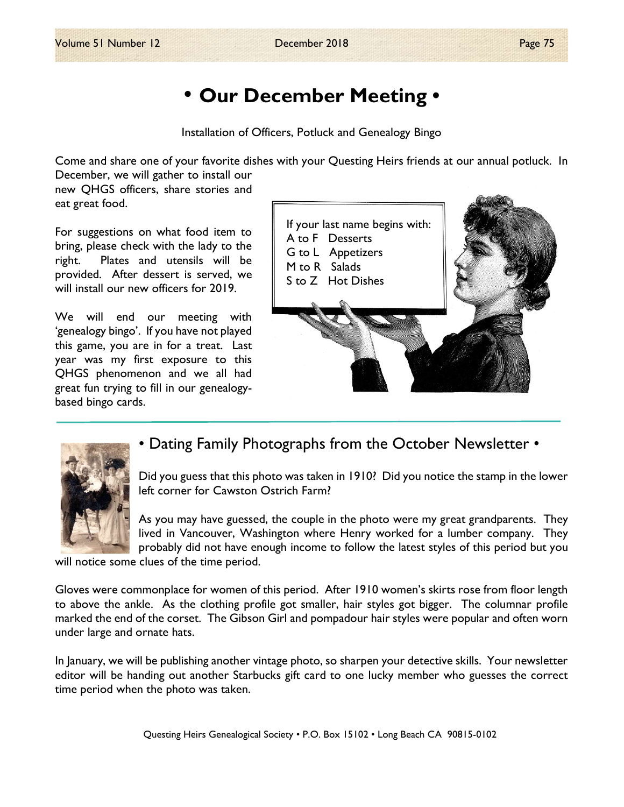# • Our December Meeting •

Installation of Officers, Potluck and Genealogy Bingo

Come and share one of your favorite dishes with your Questing Heirs friends at our annual potluck. In December, we will gather to install our

new QHGS officers, share stories and eat great food.

For suggestions on what food item to bring, please check with the lady to the right. Plates and utensils will be provided. After dessert is served, we will install our new officers for 2019.

We will end our meeting with 'genealogy bingo'. If you have not played this game, you are in for a treat. Last year was my first exposure to this QHGS phenomenon and we all had great fun trying to fill in our genealogybased bingo cards.





## • Dating Family Photographs from the October Newsletter •

Did you guess that this photo was taken in 1910? Did you notice the stamp in the lower left corner for Cawston Ostrich Farm?

As you may have guessed, the couple in the photo were my great grandparents. They lived in Vancouver, Washington where Henry worked for a lumber company. They probably did not have enough income to follow the latest styles of this period but you

will notice some clues of the time period.

Gloves were commonplace for women of this period. After 1910 women's skirts rose from floor length to above the ankle. As the clothing profile got smaller, hair styles got bigger. The columnar profile marked the end of the corset. The Gibson Girl and pompadour hair styles were popular and often worn under large and ornate hats.

In January, we will be publishing another vintage photo, so sharpen your detective skills. Your newsletter editor will be handing out another Starbucks gift card to one lucky member who guesses the correct time period when the photo was taken.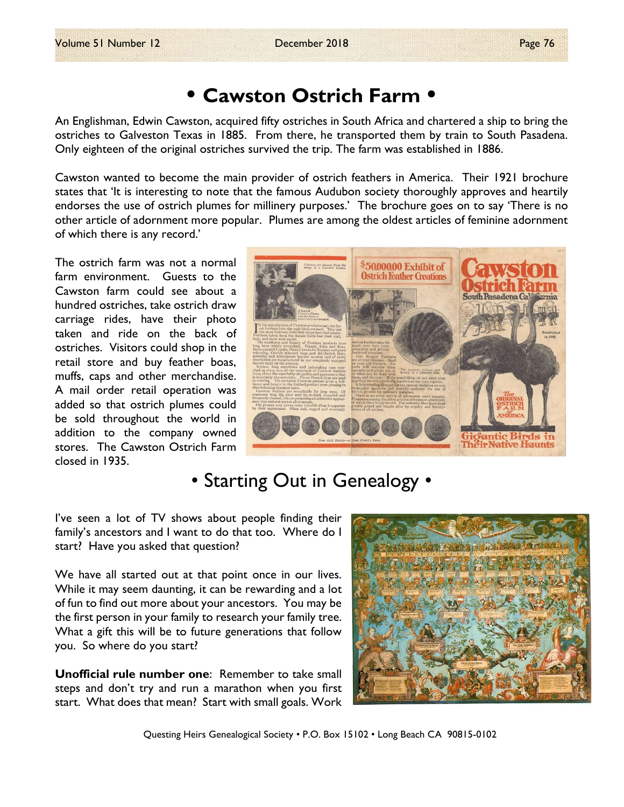# • Cawston Ostrich Farm •

An Englishman, Edwin Cawston, acquired fifty ostriches in South Africa and chartered a ship to bring the ostriches to Galveston Texas in 1885. From there, he transported them by train to South Pasadena. Only eighteen of the original ostriches survived the trip. The farm was established in 1886.

Cawston wanted to become the main provider of ostrich feathers in America. Their 1921 brochure states that 'It is interesting to note that the famous Audubon society thoroughly approves and heartily endorses the use of ostrich plumes for millinery purposes.' The brochure goes on to say 'There is no other article of adornment more popular. Plumes are among the oldest articles of feminine adornment of which there is any record.'

The ostrich farm was not a normal farm environment. Guests to the Cawston farm could see about a hundred ostriches, take ostrich draw carriage rides, have their photo taken and ride on the back of ostriches. Visitors could shop in the retail store and buy feather boas, muffs, caps and other merchandise. A mail order retail operation was added so that ostrich plumes could be sold throughout the world in addition to the company owned stores. The Cawston Ostrich Farm closed in 1935.



# • Starting Out in Genealogy •

I've seen a lot of TV shows about people finding their family's ancestors and I want to do that too. Where do I start? Have you asked that question?

We have all started out at that point once in our lives. While it may seem daunting, it can be rewarding and a lot of fun to find out more about your ancestors. You may be the first person in your family to research your family tree. What a gift this will be to future generations that follow you. So where do you start?

Unofficial rule number one: Remember to take small steps and don't try and run a marathon when you first start. What does that mean? Start with small goals. Work



Questing Heirs Genealogical Society • P.O. Box 15102 • Long Beach CA 90815-0102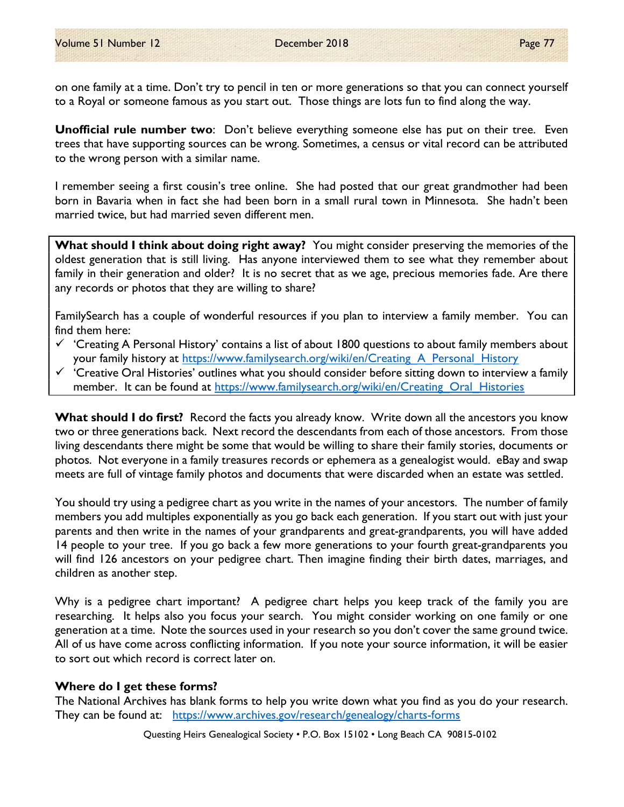on one family at a time. Don't try to pencil in ten or more generations so that you can connect yourself to a Royal or someone famous as you start out. Those things are lots fun to find along the way.

Unofficial rule number two: Don't believe everything someone else has put on their tree. Even trees that have supporting sources can be wrong. Sometimes, a census or vital record can be attributed to the wrong person with a similar name.

I remember seeing a first cousin's tree online. She had posted that our great grandmother had been born in Bavaria when in fact she had been born in a small rural town in Minnesota. She hadn't been married twice, but had married seven different men.

What should I think about doing right away? You might consider preserving the memories of the oldest generation that is still living. Has anyone interviewed them to see what they remember about family in their generation and older? It is no secret that as we age, precious memories fade. Are there any records or photos that they are willing to share?

FamilySearch has a couple of wonderful resources if you plan to interview a family member. You can find them here:

- $\checkmark$  'Creating A Personal History' contains a list of about 1800 questions to about family members about your family history at https://www.familysearch.org/wiki/en/Creating A Personal History
- $\checkmark$  'Creative Oral Histories' outlines what you should consider before sitting down to interview a family member. It can be found at https://www.familysearch.org/wiki/en/Creating Oral Histories

What should I do first? Record the facts you already know. Write down all the ancestors you know two or three generations back. Next record the descendants from each of those ancestors. From those living descendants there might be some that would be willing to share their family stories, documents or photos. Not everyone in a family treasures records or ephemera as a genealogist would. eBay and swap meets are full of vintage family photos and documents that were discarded when an estate was settled.

You should try using a pedigree chart as you write in the names of your ancestors. The number of family members you add multiples exponentially as you go back each generation. If you start out with just your parents and then write in the names of your grandparents and great-grandparents, you will have added 14 people to your tree. If you go back a few more generations to your fourth great-grandparents you will find 126 ancestors on your pedigree chart. Then imagine finding their birth dates, marriages, and children as another step.

Why is a pedigree chart important? A pedigree chart helps you keep track of the family you are researching. It helps also you focus your search. You might consider working on one family or one generation at a time. Note the sources used in your research so you don't cover the same ground twice. All of us have come across conflicting information. If you note your source information, it will be easier to sort out which record is correct later on.

### Where do I get these forms?

The National Archives has blank forms to help you write down what you find as you do your research. They can be found at: https://www.archives.gov/research/genealogy/charts-forms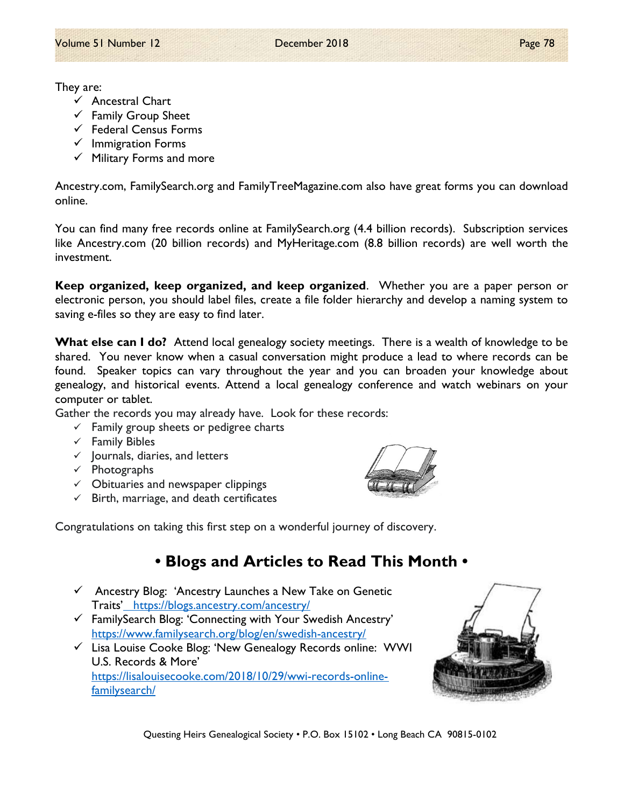They are:

- $\checkmark$  Ancestral Chart
- $\checkmark$  Family Group Sheet
- $\checkmark$  Federal Census Forms
- $\checkmark$  Immigration Forms
- $\checkmark$  Military Forms and more

Ancestry.com, FamilySearch.org and FamilyTreeMagazine.com also have great forms you can download online.

You can find many free records online at FamilySearch.org (4.4 billion records). Subscription services like Ancestry.com (20 billion records) and MyHeritage.com (8.8 billion records) are well worth the investment.

Keep organized, keep organized, and keep organized. Whether you are a paper person or electronic person, you should label files, create a file folder hierarchy and develop a naming system to saving e-files so they are easy to find later.

What else can I do? Attend local genealogy society meetings. There is a wealth of knowledge to be shared. You never know when a casual conversation might produce a lead to where records can be found. Speaker topics can vary throughout the year and you can broaden your knowledge about genealogy, and historical events. Attend a local genealogy conference and watch webinars on your computer or tablet.

Gather the records you may already have. Look for these records:

- $\checkmark$  Family group sheets or pedigree charts
- $\checkmark$  Family Bibles
- $\checkmark$  Journals, diaries, and letters
- $\checkmark$  Photographs
- $\checkmark$  Obituaries and newspaper clippings
- $\checkmark$  Birth, marriage, and death certificates



Congratulations on taking this first step on a wonderful journey of discovery.

# • Blogs and Articles to Read This Month •

- $\checkmark$  Ancestry Blog: 'Ancestry Launches a New Take on Genetic Traits' https://blogs.ancestry.com/ancestry/
- $\checkmark$  FamilySearch Blog: 'Connecting with Your Swedish Ancestry' https://www.familysearch.org/blog/en/swedish-ancestry/
- $\checkmark$  Lisa Louise Cooke Blog: 'New Genealogy Records online: WWI U.S. Records & More' https://lisalouisecooke.com/2018/10/29/wwi-records-onlinefamilysearch/

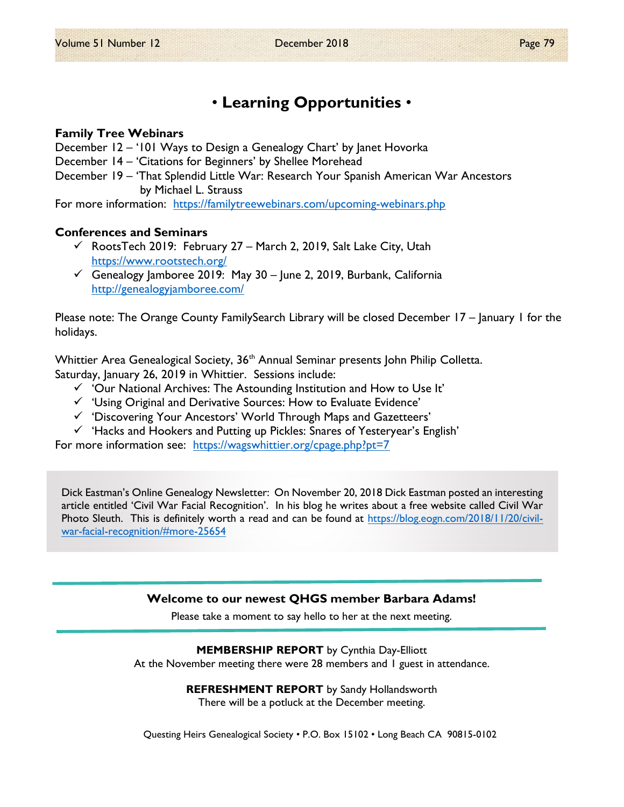# • Learning Opportunities •

### Family Tree Webinars

December 12 – '101 Ways to Design a Genealogy Chart' by Janet Hovorka

- December 14 'Citations for Beginners' by Shellee Morehead
- December 19 'That Splendid Little War: Research Your Spanish American War Ancestors by Michael L. Strauss

For more information: https://familytreewebinars.com/upcoming-webinars.php

### Conferences and Seminars

- $\checkmark$  RootsTech 2019: February 27 March 2, 2019, Salt Lake City, Utah https://www.rootstech.org/
- $\checkmark$  Genealogy Jamboree 2019: May 30 June 2, 2019, Burbank, California http://genealogyjamboree.com/

Please note: The Orange County FamilySearch Library will be closed December 17 – January 1 for the holidays.

Whittier Area Genealogical Society, 36<sup>th</sup> Annual Seminar presents John Philip Colletta. Saturday, January 26, 2019 in Whittier. Sessions include:

- $\checkmark$  'Our National Archives: The Astounding Institution and How to Use It'
- $\checkmark$  'Using Original and Derivative Sources: How to Evaluate Evidence'
- $\checkmark$  'Discovering Your Ancestors' World Through Maps and Gazetteers'
- $\checkmark$  'Hacks and Hookers and Putting up Pickles: Snares of Yesteryear's English'

For more information see: https://wagswhittier.org/cpage.php?pt=7

Dick Eastman's Online Genealogy Newsletter: On November 20, 2018 Dick Eastman posted an interesting article entitled 'Civil War Facial Recognition'. In his blog he writes about a free website called Civil War Photo Sleuth. This is definitely worth a read and can be found at https://blog.eogn.com/2018/11/20/civilwar-facial-recognition/#more-25654

### Welcome to our newest QHGS member Barbara Adams!

Please take a moment to say hello to her at the next meeting.

#### MEMBERSHIP REPORT by Cynthia Day-Elliott

At the November meeting there were 28 members and 1 guest in attendance.

REFRESHMENT REPORT by Sandy Hollandsworth There will be a potluck at the December meeting.

Questing Heirs Genealogical Society • P.O. Box 15102 • Long Beach CA 90815-0102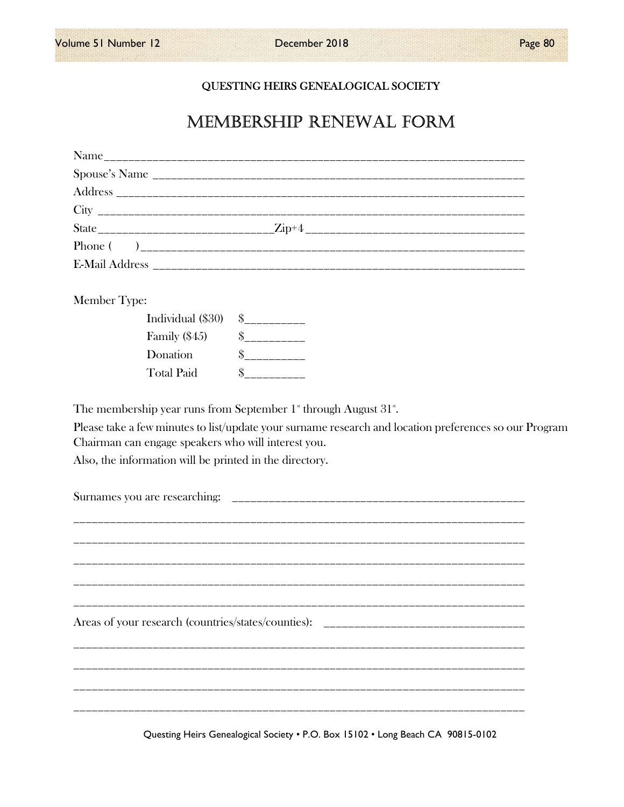### QUESTING HEIRS GENEALOGICAL SOCIETY

# MEMBERSHIP RENEWAL FORM

| Member Type:                                                                                                                                                                                                             |  |
|--------------------------------------------------------------------------------------------------------------------------------------------------------------------------------------------------------------------------|--|
| Individual (\$30)                                                                                                                                                                                                        |  |
| Family $(\$45)$                                                                                                                                                                                                          |  |
| Donation                                                                                                                                                                                                                 |  |
| <b>Total Paid</b>                                                                                                                                                                                                        |  |
| Please take a few minutes to list/update your surname research and location preferences so our Program<br>Chairman can engage speakers who will interest you.<br>Also, the information will be printed in the directory. |  |
| Areas of your research (countries/states/counties): _____________________________                                                                                                                                        |  |
|                                                                                                                                                                                                                          |  |

Questing Heirs Genealogical Society . P.O. Box 15102 . Long Beach CA 90815-0102